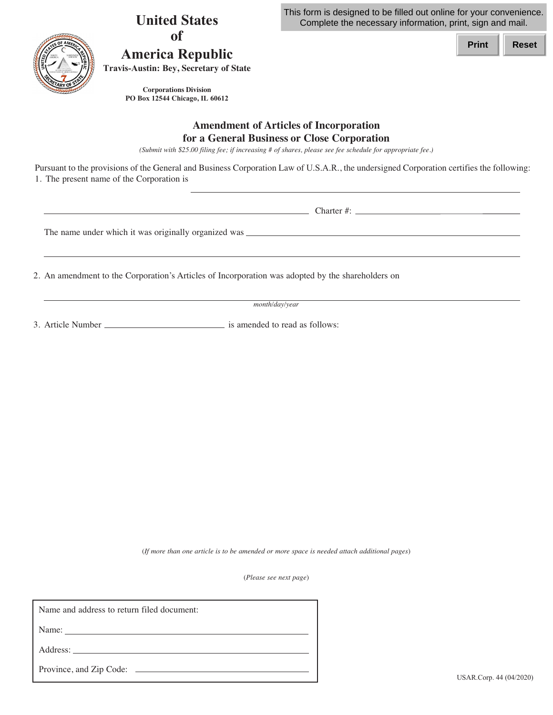**United States of**



## **America Republic**

**Travis-Austin: Bey, Secretary of State** 

 **PO Box 12544 Chicago, IL 60612 Corporations Division**

This form is designed to be filled out online for your convenience. Complete the necessary information, print, sign and mail.

**Print Reset**

## **Amendment of Articles of Incorporation for a General Business or Close Corporation**

(Submit with \$25.00 filing fee; if increasing # of shares, please see fee schedule for appropriate fee.)

 Pursuant to the provisions of the General and Business Corporation Law of U.S.A.R., the undersigned Corporation certifies the following: 1. The present name of the Corporation is

Charter #:

The name under which it was originally organized was **Sharehouse and the set of the set of the set of the set of the set of the set of the set of the set of the set of the set of the set of the set of the set of the set of** 

2. An amendment to the Corporation's Articles of Incorporation was adopted by the shareholders on

*month/day/year*

3. Article Number **is amended** to read as follows:

(*If more than one article is to be amended or more space is needed attach additional pages*)

(*Please see next page*)

Name and address to return filed document:

Name: Name:

Address:

Province, and Zip Code: